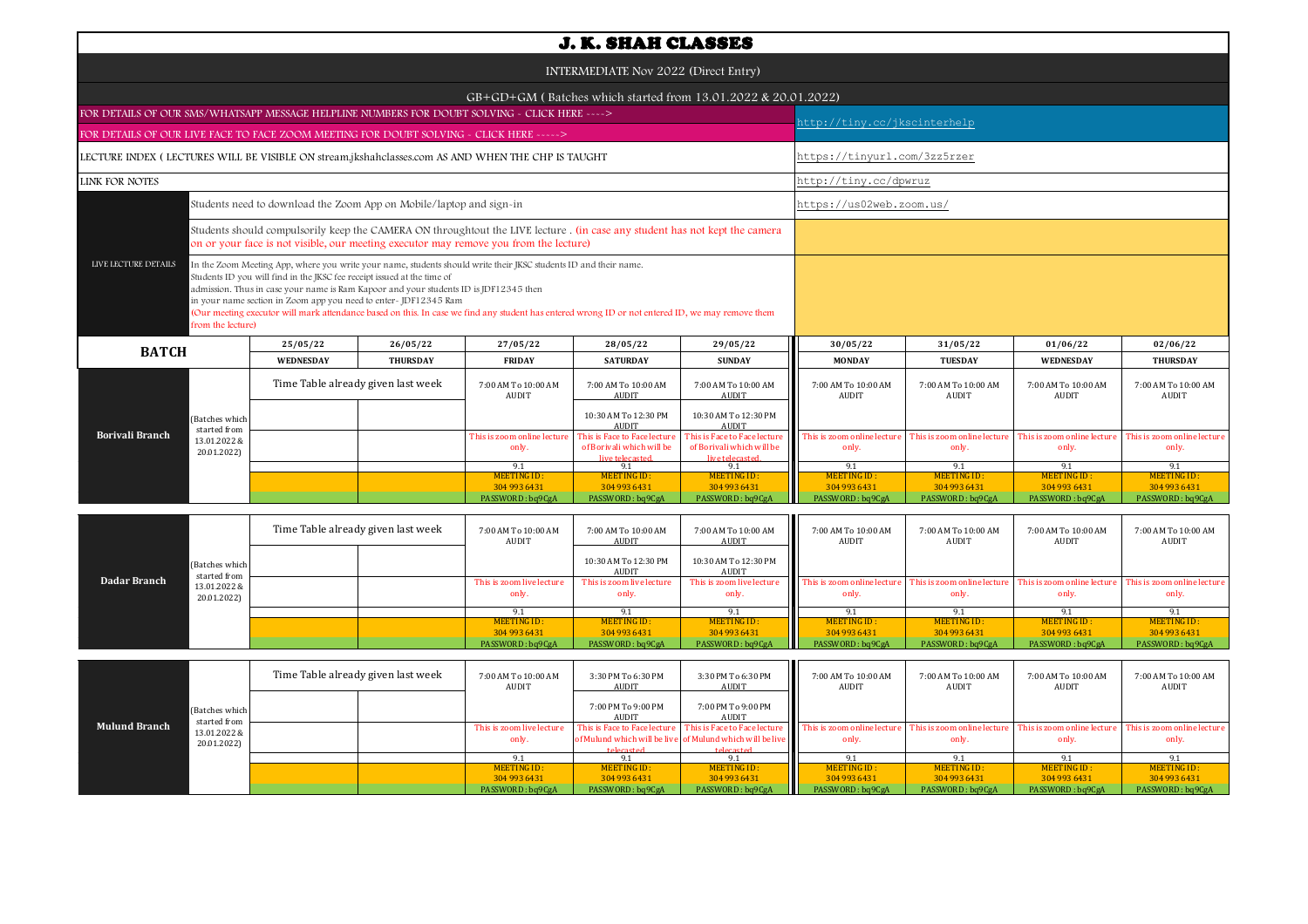| <b>J. K. SHAH CLASSES</b>                                                                         |                                |                                                                                                                                                                                                                                      |                                    |                                                                                                                                                                                                                                                                      |                                                                              |                                                                              |                                      |                                     |                                      |                                      |  |  |
|---------------------------------------------------------------------------------------------------|--------------------------------|--------------------------------------------------------------------------------------------------------------------------------------------------------------------------------------------------------------------------------------|------------------------------------|----------------------------------------------------------------------------------------------------------------------------------------------------------------------------------------------------------------------------------------------------------------------|------------------------------------------------------------------------------|------------------------------------------------------------------------------|--------------------------------------|-------------------------------------|--------------------------------------|--------------------------------------|--|--|
| INTERMEDIATE Nov 2022 (Direct Entry)                                                              |                                |                                                                                                                                                                                                                                      |                                    |                                                                                                                                                                                                                                                                      |                                                                              |                                                                              |                                      |                                     |                                      |                                      |  |  |
|                                                                                                   |                                |                                                                                                                                                                                                                                      |                                    |                                                                                                                                                                                                                                                                      |                                                                              | $GB+GD+GM$ (Batches which started from 13.01.2022 & 20.01.2022)              |                                      |                                     |                                      |                                      |  |  |
| FOR DETAILS OF OUR SMS/WHATSAPP MESSAGE HELPLINE NUMBERS FOR DOUBT SOLVING - CLICK HERE ---->     |                                |                                                                                                                                                                                                                                      |                                    |                                                                                                                                                                                                                                                                      |                                                                              |                                                                              |                                      | http://tiny.cc/jkscinterhelp        |                                      |                                      |  |  |
| FOR DETAILS OF OUR LIVE FACE TO FACE ZOOM MEETING FOR DOUBT SOLVING - CLICK HERE ----->           |                                |                                                                                                                                                                                                                                      |                                    |                                                                                                                                                                                                                                                                      |                                                                              |                                                                              |                                      |                                     |                                      |                                      |  |  |
| LECTURE INDEX (LECTURES WILL BE VISIBLE ON stream.jkshahclasses.com AS AND WHEN THE CHP IS TAUGHT |                                |                                                                                                                                                                                                                                      |                                    |                                                                                                                                                                                                                                                                      |                                                                              |                                                                              | https://tinyurl.com/3zz5rzer         |                                     |                                      |                                      |  |  |
| <b>LINK FOR NOTES</b>                                                                             |                                |                                                                                                                                                                                                                                      | http://tiny.cc/dpwruz              |                                                                                                                                                                                                                                                                      |                                                                              |                                                                              |                                      |                                     |                                      |                                      |  |  |
|                                                                                                   |                                | Students need to download the Zoom App on Mobile/laptop and sign-in                                                                                                                                                                  |                                    |                                                                                                                                                                                                                                                                      |                                                                              | https://us02web.zoom.us/                                                     |                                      |                                     |                                      |                                      |  |  |
|                                                                                                   |                                |                                                                                                                                                                                                                                      |                                    | Students should compulsorily keep the CAMERA ON throughtout the LIVE lecture . (in case any student has not kept the camera<br>on or your face is not visible, our meeting executor may remove you from the lecture)                                                 |                                                                              |                                                                              |                                      |                                     |                                      |                                      |  |  |
| LIVE LECTURE DETAILS                                                                              | from the lecture)              | Students ID you will find in the JKSC fee receipt issued at the time of<br>admission. Thus in case your name is Ram Kapoor and your students ID is JDF12345 then<br>in your name section in Zoom app you need to enter- JDF12345 Ram |                                    | In the Zoom Meeting App, where you write your name, students should write their JKSC students ID and their name.<br>(Our meeting executor will mark attendance based on this. In case we find any student has entered wrong ID or not entered ID, we may remove them |                                                                              |                                                                              |                                      |                                     |                                      |                                      |  |  |
| 25/05/22<br>26/05/22<br><b>BATCH</b>                                                              |                                | 27/05/22                                                                                                                                                                                                                             | 28/05/22                           | 29/05/22                                                                                                                                                                                                                                                             | 30/05/22                                                                     | 31/05/22                                                                     | 01/06/22                             | 02/06/22                            |                                      |                                      |  |  |
|                                                                                                   |                                | <b>WEDNESDAY</b>                                                                                                                                                                                                                     | <b>THURSDAY</b>                    | <b>FRIDAY</b>                                                                                                                                                                                                                                                        | <b>SATURDAY</b>                                                              | <b>SUNDAY</b>                                                                | <b>MONDAY</b>                        | <b>TUESDAY</b>                      | <b>WEDNESDAY</b>                     | <b>THURSDAY</b>                      |  |  |
|                                                                                                   |                                |                                                                                                                                                                                                                                      | Time Table already given last week | 7:00 AM To 10:00 AM<br>AUDIT                                                                                                                                                                                                                                         | 7:00 AM To 10:00 AM<br><b>AUDIT</b>                                          | 7:00 AM To 10:00 AM<br><b>AUDIT</b>                                          | 7:00 AM To 10:00 AM<br>AUDIT         | 7:00 AM To 10:00 AM<br>AUDIT        | 7:00 AM To 10:00 AM<br><b>AUDIT</b>  | 7:00 AM To 10:00 AM<br>AUDIT         |  |  |
|                                                                                                   | (Batches which<br>started from |                                                                                                                                                                                                                                      |                                    |                                                                                                                                                                                                                                                                      | 10:30 AM To 12:30 PM<br><b>AUDIT</b>                                         | 10:30 AM To 12:30 PM<br><b>AUDIT</b>                                         |                                      |                                     |                                      |                                      |  |  |
| <b>Borivali Branch</b>                                                                            | 13.01.2022 &<br>20.01.2022)    |                                                                                                                                                                                                                                      |                                    | This is zoom online lecture<br>only.                                                                                                                                                                                                                                 | This is Face to Face lecture<br>of Borivali which will be<br>live telecaster | This is Face to Face lecture<br>of Borivali which will be<br>live telecaster | This is zoom online lecture<br>only. | This is zoom online lectur<br>only. | This is zoom online lecture<br>only. | This is zoom online lecture<br>only. |  |  |
|                                                                                                   |                                |                                                                                                                                                                                                                                      |                                    | 9.1                                                                                                                                                                                                                                                                  | 9.1                                                                          | 9.1                                                                          | 9.1                                  | 9.1                                 | 9.1                                  | 9.1                                  |  |  |
|                                                                                                   |                                |                                                                                                                                                                                                                                      |                                    | <b>MEETING ID:</b><br>304 993 6431                                                                                                                                                                                                                                   | MEETING ID:<br>304 993 6431                                                  | <b>MEETING ID:</b><br>304 993 6431                                           | MEETING ID:<br>304 993 6431          | <b>MEETING ID:</b><br>304 993 6431  | <b>MEETING ID:</b><br>304 993 6431   | <b>MEETING ID:</b><br>304 993 6431   |  |  |
|                                                                                                   |                                |                                                                                                                                                                                                                                      |                                    | PASSWORD: ba9CgA                                                                                                                                                                                                                                                     | PASSWORD: ba9CgA                                                             | PASSWORD: ba9CgA                                                             | PASSWORD: ba9CgA                     | PASSWORD: ba9CgA                    | PASSWORD: ba9CgA                     | PASSWORD: ba9CgA                     |  |  |
|                                                                                                   |                                |                                                                                                                                                                                                                                      |                                    |                                                                                                                                                                                                                                                                      |                                                                              |                                                                              |                                      |                                     |                                      |                                      |  |  |

| Dadar Branch |                                | Time Table already given last week |  | 7:00 AM To 10:00 AM<br>AUDIT       | 7:00 AM To 10:00 AM<br>AUDIT         | 7:00 AM To 10:00 AM<br>AUDIT       | 7:00 AM To 10:00 AM<br>AUDIT         | 7:00 AM To 10:00 AM<br>AUDIT         | 7:00 AM To 10:00 AM<br><b>AUDIT</b>                              | 7:00 AM To 10:00 AM<br>AUDIT |
|--------------|--------------------------------|------------------------------------|--|------------------------------------|--------------------------------------|------------------------------------|--------------------------------------|--------------------------------------|------------------------------------------------------------------|------------------------------|
|              | (Batches which<br>started from |                                    |  |                                    | 10:30 AM To 12:30 PM<br><b>AUDIT</b> | 10:30 AM To 12:30 PM<br>AUDIT      |                                      |                                      |                                                                  |                              |
|              | 13.01.2022 &<br>20.01.2022)    |                                    |  | This is zoom live lecture<br>only. | This is zoom live lecture<br>only.   | This is zoom live lecture<br>only. | This is zoom online lecture<br>only. | This is zoom online lecture<br>only. | This is zoom online lecture This is zoom online lecture<br>only. | only.                        |
|              |                                |                                    |  |                                    |                                      | 91                                 |                                      |                                      |                                                                  |                              |
|              |                                |                                    |  | MEETING ID:                        | <b>MEETING ID:</b>                   | MEETING ID:                        | MEETING ID:                          | MEETING ID:                          | MEETING ID:                                                      | MEETING ID:                  |
|              |                                |                                    |  | 304 993 6431                       | 304 993 6431                         | 304 993 6431                       | 304 993 6431                         | 304 993 6431                         | 304 993 6431                                                     | 304 993 6431                 |
|              |                                |                                    |  | PASSWORD: bq9CgA                   | PASSWORD: bq9CgA                     | PASSWORD: bq9CgA                   | PASSWORD : bq9CgA                    | PASSWORD: bq9CgA                     | PASSWORD: bq9CgA                                                 | PASSWORD: bq9CgA             |

|                      | (Batches which<br>started from | Time Table already given last week |  | 7:00 AM To 10:00 AM<br>AUDIT | 3:30 PM To 6:30 PM<br>AUDIT        | 3:30 PM To 6:30 PM<br>AUDIT                               | Ш<br>7:00 AM To 10:00 AM<br><b>AUDIT</b>                                | 7:00 AM To 10:00 AM<br><b>AUDIT</b> | 7:00 AM To 10:00 AM<br>AUDIT | 7:00 AM To 10:00 AM<br>AUDIT |
|----------------------|--------------------------------|------------------------------------|--|------------------------------|------------------------------------|-----------------------------------------------------------|-------------------------------------------------------------------------|-------------------------------------|------------------------------|------------------------------|
|                      |                                |                                    |  |                              | 7:00 PM To 9:00 PM<br><b>AUDIT</b> | 7:00 PM To 9:00 PM<br>AUDIT                               |                                                                         |                                     |                              |                              |
| <b>Mulund Branch</b> | 13.01.2022 &                   |                                    |  | This is zoom live lecture    | This is Face to Face lecture       | This is Face to Face lecture                              | <b>EXECUTE:</b> This is zoom online lecture This is zoom online lecture |                                     | This is zoom online lecture  | This is zoom online lecture  |
|                      | 20.01.2022)                    |                                    |  | only.                        |                                    | of Mulund which will be live of Mulund which will be live | only.                                                                   | only.                               | only.                        | only.                        |
|                      |                                |                                    |  |                              | telecasted                         | telecasted                                                |                                                                         |                                     |                              |                              |
|                      |                                |                                    |  |                              |                                    |                                                           |                                                                         |                                     |                              |                              |
|                      |                                |                                    |  | MEETING ID:                  | MEETING ID:                        | MEETING ID:                                               | <b>MEETING ID:</b>                                                      | <b>MEETING ID:</b>                  | MEETING ID:                  | MEETING ID:                  |
|                      |                                |                                    |  | 304 993 6431                 | 304 993 6431                       | 304 993 6431                                              | 304 993 6431                                                            | 304 993 6431                        | 304 993 6431                 | 304 993 6431                 |
|                      |                                |                                    |  | PASSWORD: bq9CgA             | PASSWORD: bq9CgA                   | PASSWORD: bq9CgA                                          | PASSWORD: bq9CgA                                                        | PASSWORD: bq9CgA                    | PASSWORD: bq9CgA             | PASSWORD: bq9CgA             |